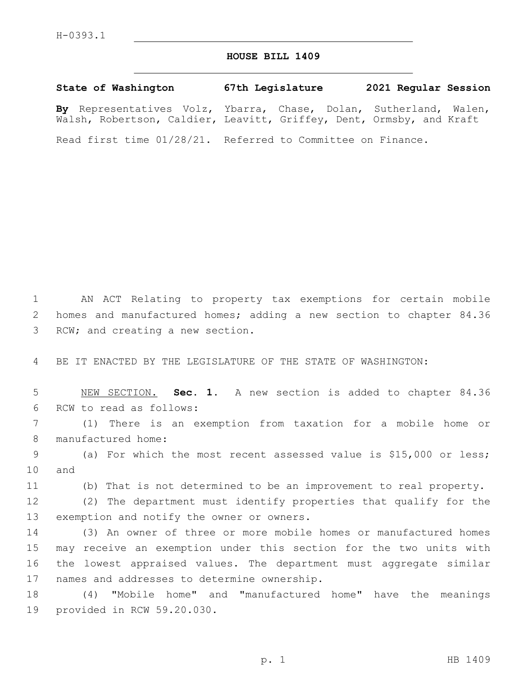## **HOUSE BILL 1409**

**State of Washington 67th Legislature 2021 Regular Session By** Representatives Volz, Ybarra, Chase, Dolan, Sutherland, Walen, Walsh, Robertson, Caldier, Leavitt, Griffey, Dent, Ormsby, and Kraft

Read first time 01/28/21. Referred to Committee on Finance.

1 AN ACT Relating to property tax exemptions for certain mobile 2 homes and manufactured homes; adding a new section to chapter 84.36 3 RCW; and creating a new section.

4 BE IT ENACTED BY THE LEGISLATURE OF THE STATE OF WASHINGTON:

5 NEW SECTION. **Sec. 1.** A new section is added to chapter 84.36 6 RCW to read as follows:

7 (1) There is an exemption from taxation for a mobile home or 8 manufactured home:

9 (a) For which the most recent assessed value is \$15,000 or less; 10 and

11 (b) That is not determined to be an improvement to real property.

12 (2) The department must identify properties that qualify for the 13 exemption and notify the owner or owners.

 (3) An owner of three or more mobile homes or manufactured homes may receive an exemption under this section for the two units with the lowest appraised values. The department must aggregate similar 17 names and addresses to determine ownership.

18 (4) "Mobile home" and "manufactured home" have the meanings 19 provided in RCW 59.20.030.